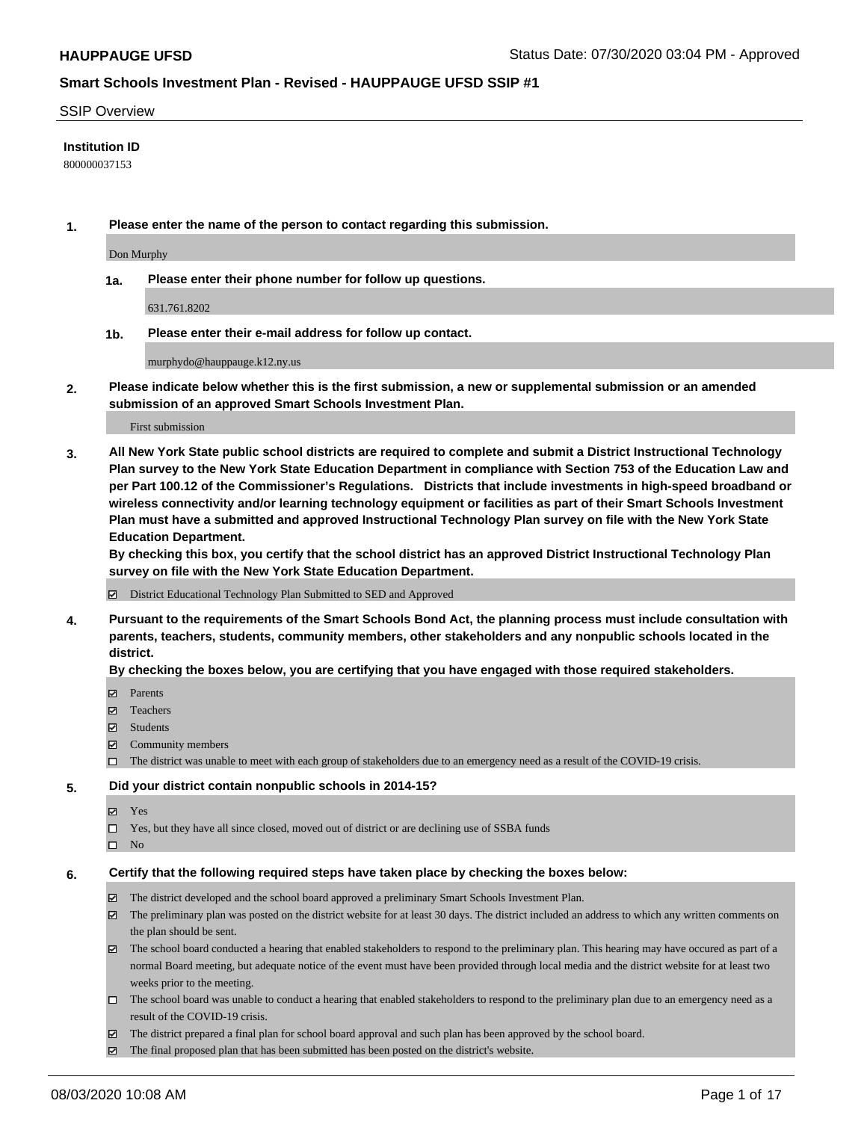#### SSIP Overview

### **Institution ID**

800000037153

**1. Please enter the name of the person to contact regarding this submission.**

Don Murphy

**1a. Please enter their phone number for follow up questions.**

631.761.8202

**1b. Please enter their e-mail address for follow up contact.**

murphydo@hauppauge.k12.ny.us

**2. Please indicate below whether this is the first submission, a new or supplemental submission or an amended submission of an approved Smart Schools Investment Plan.**

#### First submission

**3. All New York State public school districts are required to complete and submit a District Instructional Technology Plan survey to the New York State Education Department in compliance with Section 753 of the Education Law and per Part 100.12 of the Commissioner's Regulations. Districts that include investments in high-speed broadband or wireless connectivity and/or learning technology equipment or facilities as part of their Smart Schools Investment Plan must have a submitted and approved Instructional Technology Plan survey on file with the New York State Education Department.** 

**By checking this box, you certify that the school district has an approved District Instructional Technology Plan survey on file with the New York State Education Department.**

District Educational Technology Plan Submitted to SED and Approved

**4. Pursuant to the requirements of the Smart Schools Bond Act, the planning process must include consultation with parents, teachers, students, community members, other stakeholders and any nonpublic schools located in the district.** 

#### **By checking the boxes below, you are certifying that you have engaged with those required stakeholders.**

- **□** Parents
- Teachers
- Students
- $\boxtimes$  Community members
- The district was unable to meet with each group of stakeholders due to an emergency need as a result of the COVID-19 crisis.

#### **5. Did your district contain nonpublic schools in 2014-15?**

- **冈** Yes
- Yes, but they have all since closed, moved out of district or are declining use of SSBA funds
- $\square$  No

#### **6. Certify that the following required steps have taken place by checking the boxes below:**

- The district developed and the school board approved a preliminary Smart Schools Investment Plan.
- $\boxtimes$  The preliminary plan was posted on the district website for at least 30 days. The district included an address to which any written comments on the plan should be sent.
- $\boxtimes$  The school board conducted a hearing that enabled stakeholders to respond to the preliminary plan. This hearing may have occured as part of a normal Board meeting, but adequate notice of the event must have been provided through local media and the district website for at least two weeks prior to the meeting.
- The school board was unable to conduct a hearing that enabled stakeholders to respond to the preliminary plan due to an emergency need as a result of the COVID-19 crisis.
- The district prepared a final plan for school board approval and such plan has been approved by the school board.
- $\boxtimes$  The final proposed plan that has been submitted has been posted on the district's website.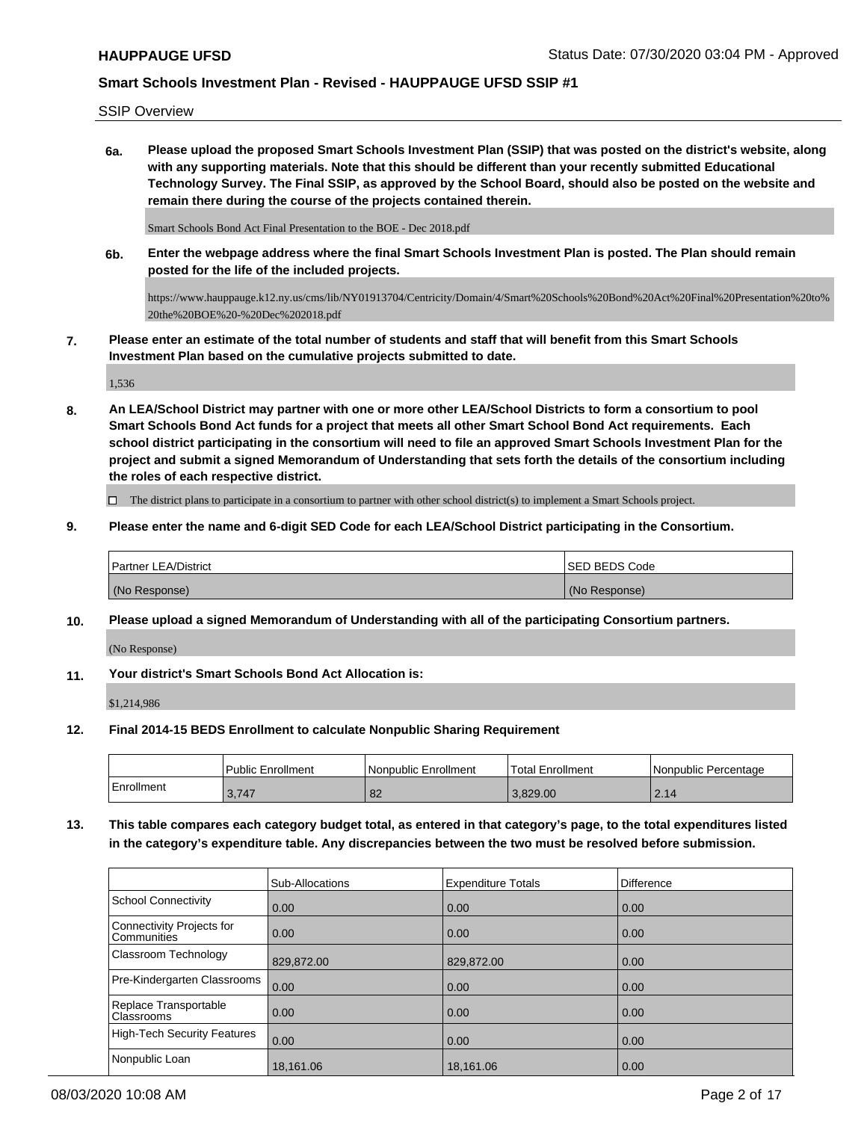SSIP Overview

**6a. Please upload the proposed Smart Schools Investment Plan (SSIP) that was posted on the district's website, along with any supporting materials. Note that this should be different than your recently submitted Educational Technology Survey. The Final SSIP, as approved by the School Board, should also be posted on the website and remain there during the course of the projects contained therein.**

Smart Schools Bond Act Final Presentation to the BOE - Dec 2018.pdf

**6b. Enter the webpage address where the final Smart Schools Investment Plan is posted. The Plan should remain posted for the life of the included projects.**

https://www.hauppauge.k12.ny.us/cms/lib/NY01913704/Centricity/Domain/4/Smart%20Schools%20Bond%20Act%20Final%20Presentation%20to% 20the%20BOE%20-%20Dec%202018.pdf

**7. Please enter an estimate of the total number of students and staff that will benefit from this Smart Schools Investment Plan based on the cumulative projects submitted to date.**

1,536

**8. An LEA/School District may partner with one or more other LEA/School Districts to form a consortium to pool Smart Schools Bond Act funds for a project that meets all other Smart School Bond Act requirements. Each school district participating in the consortium will need to file an approved Smart Schools Investment Plan for the project and submit a signed Memorandum of Understanding that sets forth the details of the consortium including the roles of each respective district.**

 $\Box$  The district plans to participate in a consortium to partner with other school district(s) to implement a Smart Schools project.

**9. Please enter the name and 6-digit SED Code for each LEA/School District participating in the Consortium.**

| <b>Partner LEA/District</b> | <b>ISED BEDS Code</b> |
|-----------------------------|-----------------------|
| (No Response)               | (No Response)         |

**10. Please upload a signed Memorandum of Understanding with all of the participating Consortium partners.**

(No Response)

**11. Your district's Smart Schools Bond Act Allocation is:**

\$1,214,986

**12. Final 2014-15 BEDS Enrollment to calculate Nonpublic Sharing Requirement**

|            | <b>Public Enrollment</b> | l Nonpublic Enrollment | <b>Total Enrollment</b> | l Nonpublic Percentage |
|------------|--------------------------|------------------------|-------------------------|------------------------|
| Enrollment | 3,747                    | $\circ$<br>٥z          | 3.829.00                | 2.14                   |

**13. This table compares each category budget total, as entered in that category's page, to the total expenditures listed in the category's expenditure table. Any discrepancies between the two must be resolved before submission.**

|                                          | Sub-Allocations | <b>Expenditure Totals</b> | Difference |
|------------------------------------------|-----------------|---------------------------|------------|
| <b>School Connectivity</b>               | 0.00            | 0.00                      | 0.00       |
| Connectivity Projects for<br>Communities | 0.00            | 0.00                      | 0.00       |
| Classroom Technology                     | 829,872.00      | 829,872.00                | 0.00       |
| Pre-Kindergarten Classrooms              | 0.00            | 0.00                      | 0.00       |
| Replace Transportable<br>Classrooms      | 0.00            | 0.00                      | 0.00       |
| <b>High-Tech Security Features</b>       | 0.00            | 0.00                      | 0.00       |
| Nonpublic Loan                           | 18,161.06       | 18,161.06                 | 0.00       |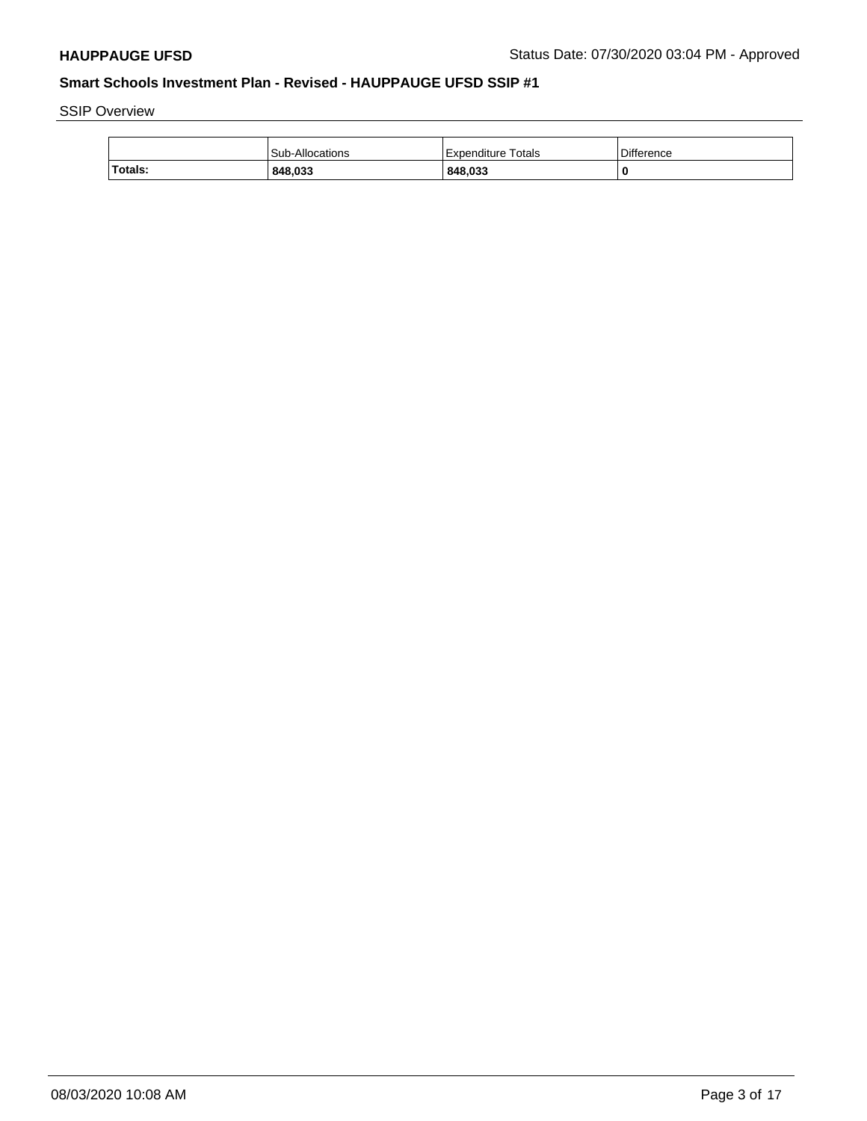SSIP Overview

|         | Sub-Allocations | Expenditure Totals | Difference |
|---------|-----------------|--------------------|------------|
| Totals: | 848.033         | 848,033            |            |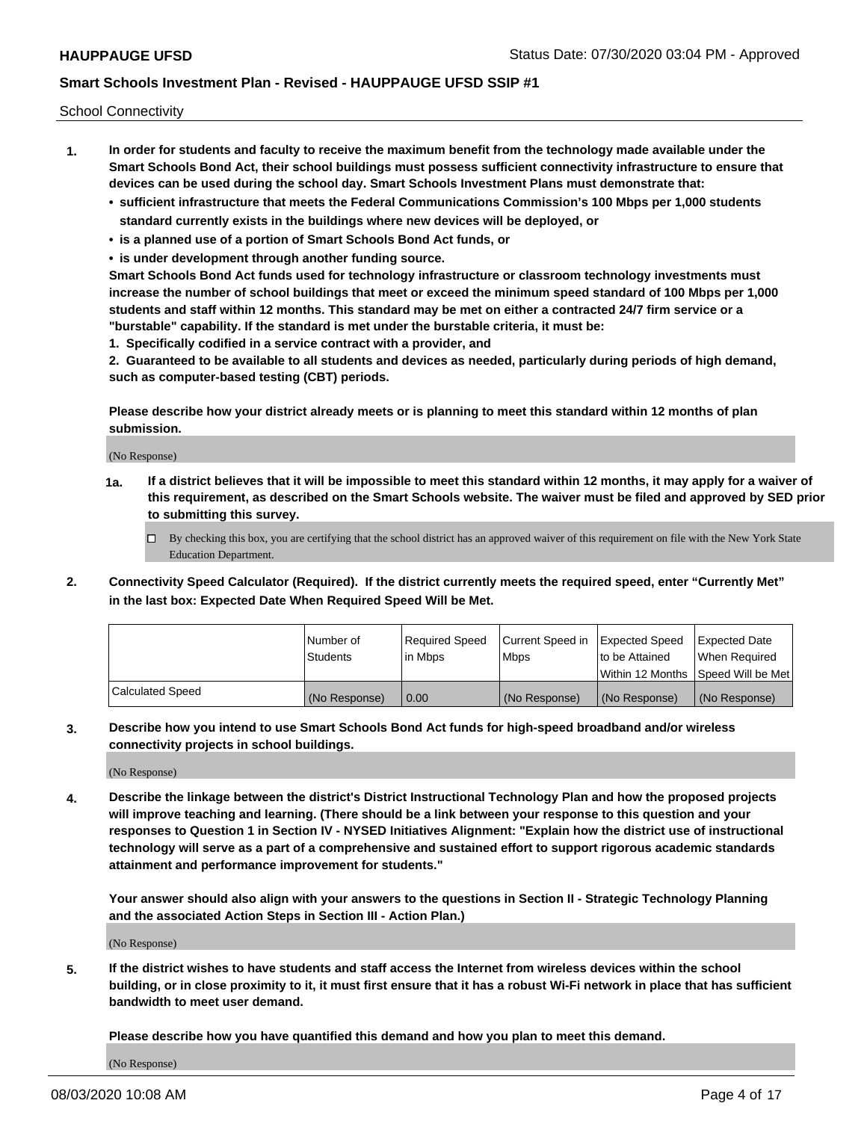School Connectivity

- **1. In order for students and faculty to receive the maximum benefit from the technology made available under the Smart Schools Bond Act, their school buildings must possess sufficient connectivity infrastructure to ensure that devices can be used during the school day. Smart Schools Investment Plans must demonstrate that:**
	- **• sufficient infrastructure that meets the Federal Communications Commission's 100 Mbps per 1,000 students standard currently exists in the buildings where new devices will be deployed, or**
	- **• is a planned use of a portion of Smart Schools Bond Act funds, or**
	- **• is under development through another funding source.**

**Smart Schools Bond Act funds used for technology infrastructure or classroom technology investments must increase the number of school buildings that meet or exceed the minimum speed standard of 100 Mbps per 1,000 students and staff within 12 months. This standard may be met on either a contracted 24/7 firm service or a "burstable" capability. If the standard is met under the burstable criteria, it must be:**

**1. Specifically codified in a service contract with a provider, and**

**2. Guaranteed to be available to all students and devices as needed, particularly during periods of high demand, such as computer-based testing (CBT) periods.**

**Please describe how your district already meets or is planning to meet this standard within 12 months of plan submission.**

(No Response)

**1a. If a district believes that it will be impossible to meet this standard within 12 months, it may apply for a waiver of this requirement, as described on the Smart Schools website. The waiver must be filed and approved by SED prior to submitting this survey.**

 $\Box$  By checking this box, you are certifying that the school district has an approved waiver of this requirement on file with the New York State Education Department.

**2. Connectivity Speed Calculator (Required). If the district currently meets the required speed, enter "Currently Met" in the last box: Expected Date When Required Speed Will be Met.**

|                  | l Number of     | Required Speed | Current Speed in | Expected Speed | Expected Date                        |
|------------------|-----------------|----------------|------------------|----------------|--------------------------------------|
|                  | <b>Students</b> | In Mbps        | <b>Mbps</b>      | to be Attained | When Required                        |
|                  |                 |                |                  |                | Within 12 Months 1Speed Will be Met1 |
| Calculated Speed | (No Response)   | 0.00           | (No Response)    | (No Response)  | l (No Response)                      |

**3. Describe how you intend to use Smart Schools Bond Act funds for high-speed broadband and/or wireless connectivity projects in school buildings.**

(No Response)

**4. Describe the linkage between the district's District Instructional Technology Plan and how the proposed projects will improve teaching and learning. (There should be a link between your response to this question and your responses to Question 1 in Section IV - NYSED Initiatives Alignment: "Explain how the district use of instructional technology will serve as a part of a comprehensive and sustained effort to support rigorous academic standards attainment and performance improvement for students."** 

**Your answer should also align with your answers to the questions in Section II - Strategic Technology Planning and the associated Action Steps in Section III - Action Plan.)**

(No Response)

**5. If the district wishes to have students and staff access the Internet from wireless devices within the school building, or in close proximity to it, it must first ensure that it has a robust Wi-Fi network in place that has sufficient bandwidth to meet user demand.**

**Please describe how you have quantified this demand and how you plan to meet this demand.**

(No Response)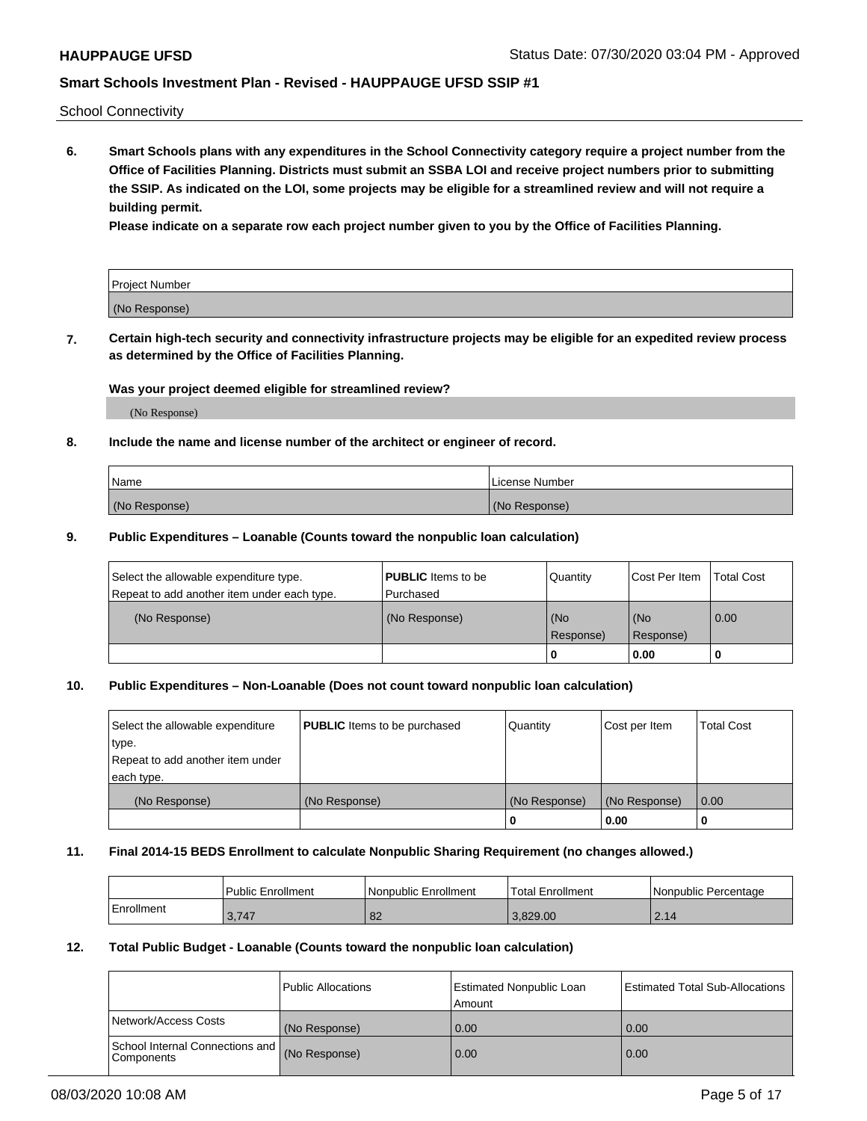School Connectivity

**6. Smart Schools plans with any expenditures in the School Connectivity category require a project number from the Office of Facilities Planning. Districts must submit an SSBA LOI and receive project numbers prior to submitting the SSIP. As indicated on the LOI, some projects may be eligible for a streamlined review and will not require a building permit.**

**Please indicate on a separate row each project number given to you by the Office of Facilities Planning.**

| Project Number |  |
|----------------|--|
| (No Response)  |  |

**7. Certain high-tech security and connectivity infrastructure projects may be eligible for an expedited review process as determined by the Office of Facilities Planning.**

### **Was your project deemed eligible for streamlined review?**

(No Response)

### **8. Include the name and license number of the architect or engineer of record.**

| Name          | License Number |
|---------------|----------------|
| (No Response) | (No Response)  |

### **9. Public Expenditures – Loanable (Counts toward the nonpublic loan calculation)**

| Select the allowable expenditure type.<br>Repeat to add another item under each type. | <b>PUBLIC</b> Items to be<br>l Purchased | Quantity         | l Cost Per Item  | <b>Total Cost</b> |
|---------------------------------------------------------------------------------------|------------------------------------------|------------------|------------------|-------------------|
| (No Response)                                                                         | (No Response)                            | (No<br>Response) | (No<br>Response) | 0.00              |
|                                                                                       |                                          | 0                | 0.00             |                   |

### **10. Public Expenditures – Non-Loanable (Does not count toward nonpublic loan calculation)**

| Select the allowable expenditure<br>type.      | <b>PUBLIC</b> Items to be purchased | Quantity      | Cost per Item | <b>Total Cost</b> |
|------------------------------------------------|-------------------------------------|---------------|---------------|-------------------|
| Repeat to add another item under<br>each type. |                                     |               |               |                   |
| (No Response)                                  | (No Response)                       | (No Response) | (No Response) | 0.00              |
|                                                |                                     |               | 0.00          |                   |

#### **11. Final 2014-15 BEDS Enrollment to calculate Nonpublic Sharing Requirement (no changes allowed.)**

|            | l Public Enrollment | Nonpublic Enrollment | 'Total Enrollment | l Nonpublic Percentage |
|------------|---------------------|----------------------|-------------------|------------------------|
| Enrollment | 3.747               | 82                   | 3.829.00          | 2.14                   |

### **12. Total Public Budget - Loanable (Counts toward the nonpublic loan calculation)**

|                                               | Public Allocations | <b>Estimated Nonpublic Loan</b><br>Amount | Estimated Total Sub-Allocations |
|-----------------------------------------------|--------------------|-------------------------------------------|---------------------------------|
| Network/Access Costs                          | (No Response)      | 0.00                                      | 0.00                            |
| School Internal Connections and<br>Components | (No Response)      | 0.00                                      | 0.00                            |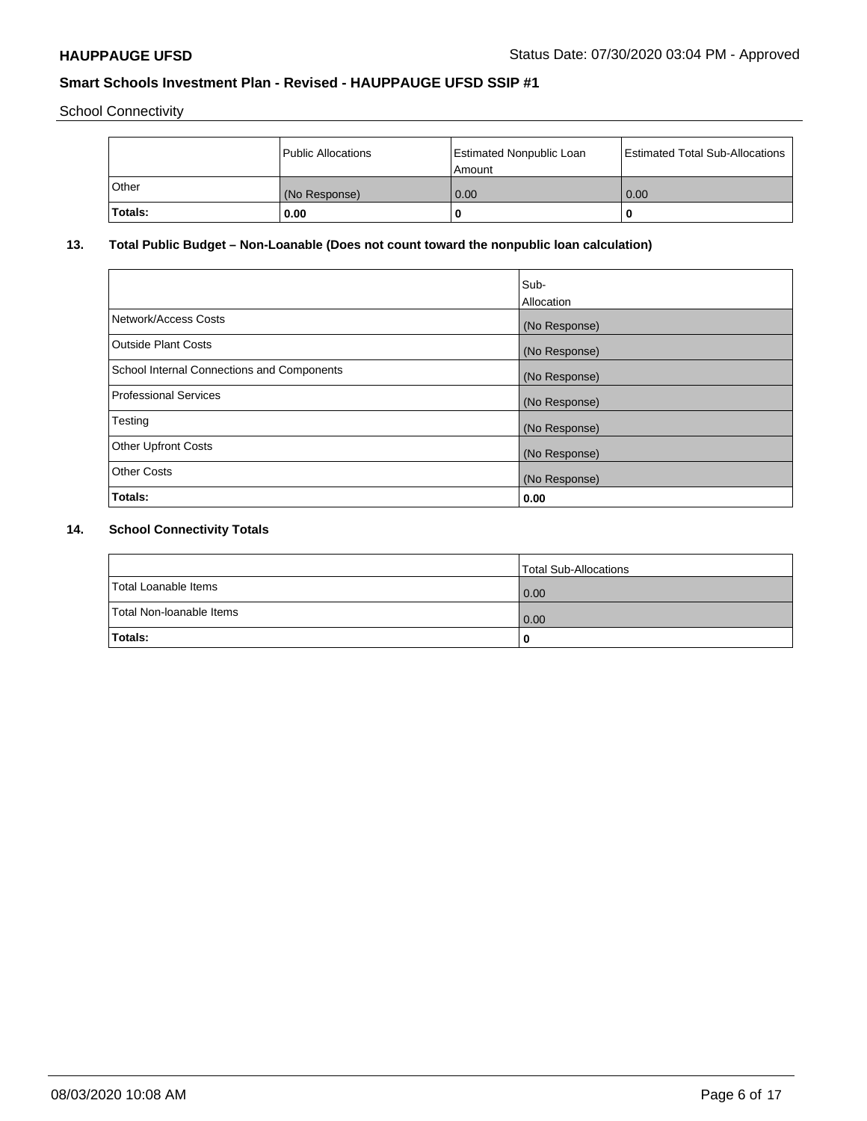School Connectivity

|         | Public Allocations | <b>Estimated Nonpublic Loan</b><br>l Amount | <b>Estimated Total Sub-Allocations</b> |
|---------|--------------------|---------------------------------------------|----------------------------------------|
| l Other | (No Response)      | 0.00                                        | 0.00                                   |
| Totals: | 0.00               | 0                                           |                                        |

# **13. Total Public Budget – Non-Loanable (Does not count toward the nonpublic loan calculation)**

|                                                   | Sub-<br>Allocation |
|---------------------------------------------------|--------------------|
| Network/Access Costs                              | (No Response)      |
| <b>Outside Plant Costs</b>                        | (No Response)      |
| <b>School Internal Connections and Components</b> | (No Response)      |
| <b>Professional Services</b>                      | (No Response)      |
| Testing                                           | (No Response)      |
| <b>Other Upfront Costs</b>                        | (No Response)      |
| <b>Other Costs</b>                                | (No Response)      |
| Totals:                                           | 0.00               |

# **14. School Connectivity Totals**

|                          | Total Sub-Allocations |
|--------------------------|-----------------------|
| Total Loanable Items     | 0.00                  |
| Total Non-Ioanable Items | 0.00                  |
| Totals:                  | 0                     |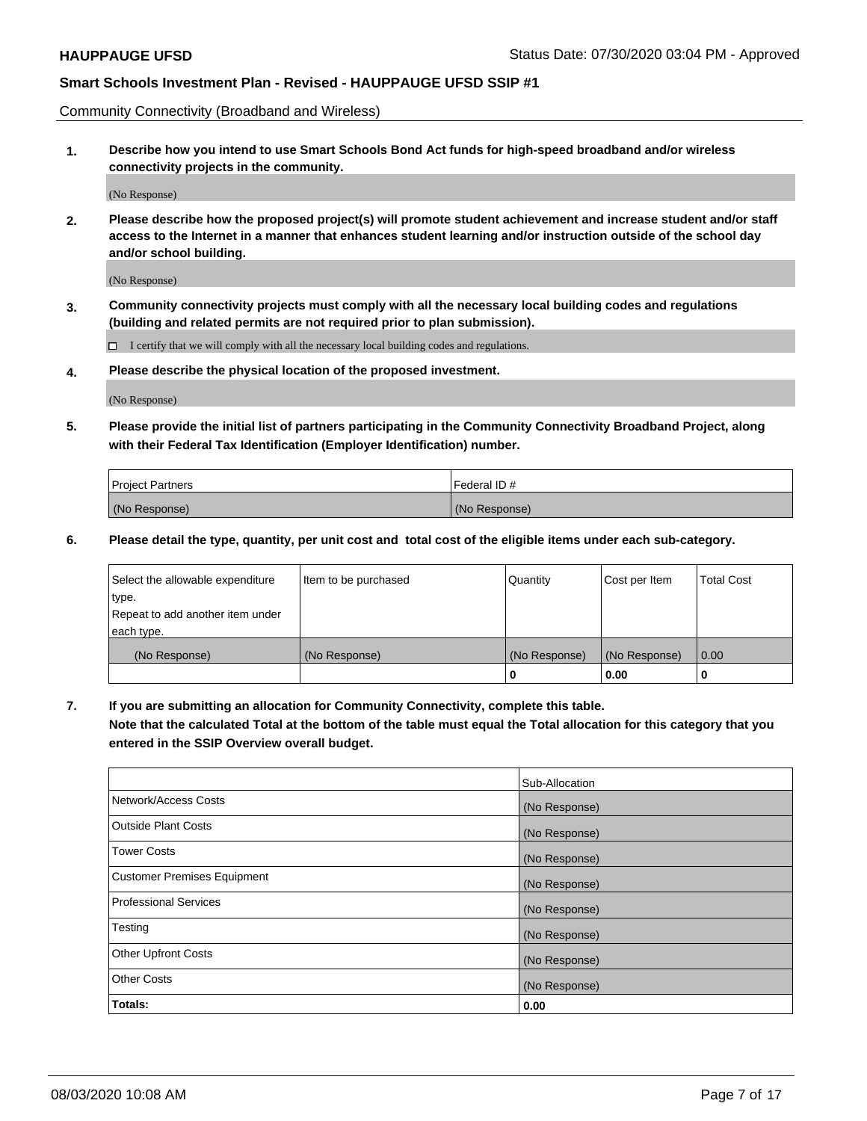Community Connectivity (Broadband and Wireless)

**1. Describe how you intend to use Smart Schools Bond Act funds for high-speed broadband and/or wireless connectivity projects in the community.**

(No Response)

**2. Please describe how the proposed project(s) will promote student achievement and increase student and/or staff access to the Internet in a manner that enhances student learning and/or instruction outside of the school day and/or school building.**

(No Response)

**3. Community connectivity projects must comply with all the necessary local building codes and regulations (building and related permits are not required prior to plan submission).**

 $\Box$  I certify that we will comply with all the necessary local building codes and regulations.

**4. Please describe the physical location of the proposed investment.**

(No Response)

**5. Please provide the initial list of partners participating in the Community Connectivity Broadband Project, along with their Federal Tax Identification (Employer Identification) number.**

| <b>Project Partners</b> | l Federal ID # |
|-------------------------|----------------|
| (No Response)           | (No Response)  |

**6. Please detail the type, quantity, per unit cost and total cost of the eligible items under each sub-category.**

| Select the allowable expenditure | Item to be purchased | Quantity      | Cost per Item | <b>Total Cost</b> |
|----------------------------------|----------------------|---------------|---------------|-------------------|
| type.                            |                      |               |               |                   |
| Repeat to add another item under |                      |               |               |                   |
| each type.                       |                      |               |               |                   |
| (No Response)                    | (No Response)        | (No Response) | (No Response) | 0.00              |
|                                  |                      | U             | 0.00          |                   |

**7. If you are submitting an allocation for Community Connectivity, complete this table.**

**Note that the calculated Total at the bottom of the table must equal the Total allocation for this category that you entered in the SSIP Overview overall budget.**

|                                    | Sub-Allocation |
|------------------------------------|----------------|
| Network/Access Costs               | (No Response)  |
| Outside Plant Costs                | (No Response)  |
| <b>Tower Costs</b>                 | (No Response)  |
| <b>Customer Premises Equipment</b> | (No Response)  |
| <b>Professional Services</b>       | (No Response)  |
| Testing                            | (No Response)  |
| <b>Other Upfront Costs</b>         | (No Response)  |
| <b>Other Costs</b>                 | (No Response)  |
| Totals:                            | 0.00           |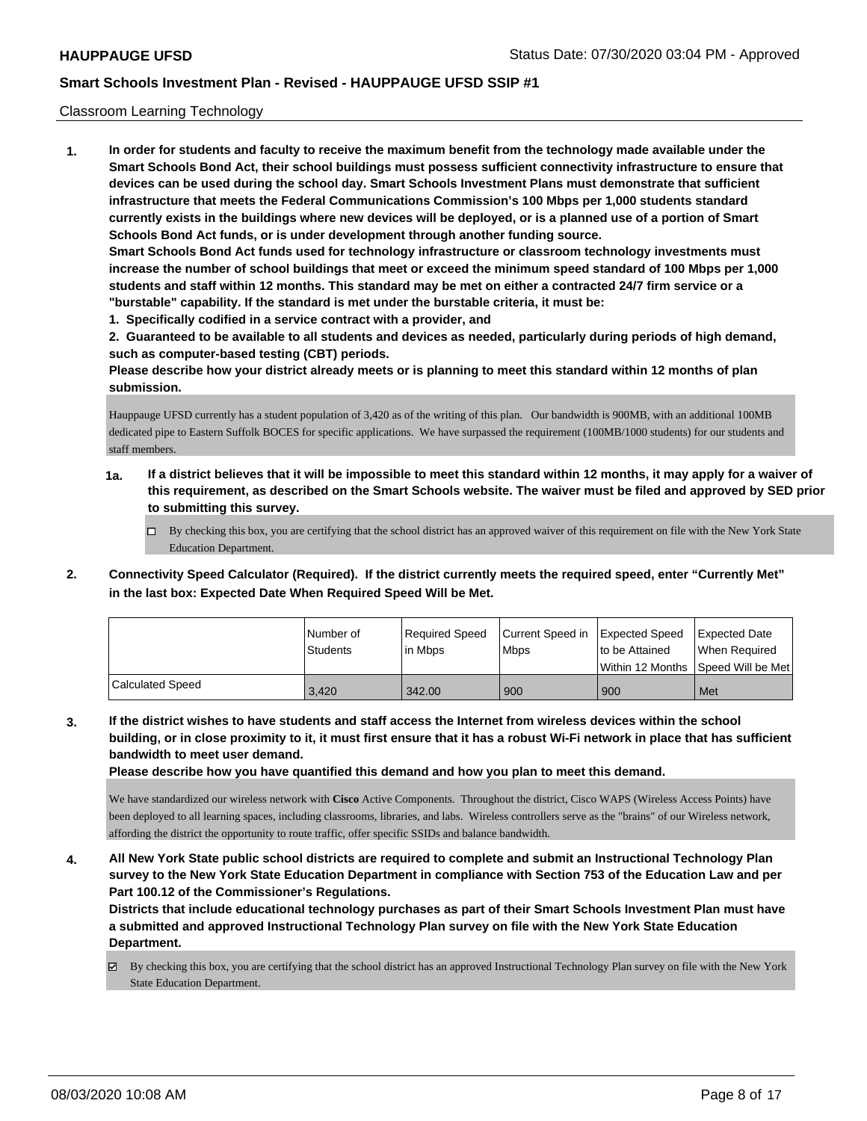### Classroom Learning Technology

**1. In order for students and faculty to receive the maximum benefit from the technology made available under the Smart Schools Bond Act, their school buildings must possess sufficient connectivity infrastructure to ensure that devices can be used during the school day. Smart Schools Investment Plans must demonstrate that sufficient infrastructure that meets the Federal Communications Commission's 100 Mbps per 1,000 students standard currently exists in the buildings where new devices will be deployed, or is a planned use of a portion of Smart Schools Bond Act funds, or is under development through another funding source. Smart Schools Bond Act funds used for technology infrastructure or classroom technology investments must increase the number of school buildings that meet or exceed the minimum speed standard of 100 Mbps per 1,000 students and staff within 12 months. This standard may be met on either a contracted 24/7 firm service or a "burstable" capability. If the standard is met under the burstable criteria, it must be:**

**1. Specifically codified in a service contract with a provider, and**

**2. Guaranteed to be available to all students and devices as needed, particularly during periods of high demand, such as computer-based testing (CBT) periods.**

**Please describe how your district already meets or is planning to meet this standard within 12 months of plan submission.**

Hauppauge UFSD currently has a student population of 3,420 as of the writing of this plan. Our bandwidth is 900MB, with an additional 100MB dedicated pipe to Eastern Suffolk BOCES for specific applications. We have surpassed the requirement (100MB/1000 students) for our students and staff members.

- **1a. If a district believes that it will be impossible to meet this standard within 12 months, it may apply for a waiver of this requirement, as described on the Smart Schools website. The waiver must be filed and approved by SED prior to submitting this survey.**
	- $\Box$  By checking this box, you are certifying that the school district has an approved waiver of this requirement on file with the New York State Education Department.
- **2. Connectivity Speed Calculator (Required). If the district currently meets the required speed, enter "Currently Met" in the last box: Expected Date When Required Speed Will be Met.**

|                  | l Number of | Required Speed | Current Speed in | <b>Expected Speed</b> | Expected Date     |
|------------------|-------------|----------------|------------------|-----------------------|-------------------|
|                  | Students    | lin Mbps       | <b>Mbps</b>      | to be Attained        | When Required     |
|                  |             |                |                  | l Within 12 Months    | Speed Will be Met |
| Calculated Speed | 3.420       | 342.00         | 900              | 900                   | Met               |

**3. If the district wishes to have students and staff access the Internet from wireless devices within the school building, or in close proximity to it, it must first ensure that it has a robust Wi-Fi network in place that has sufficient bandwidth to meet user demand.**

**Please describe how you have quantified this demand and how you plan to meet this demand.**

We have standardized our wireless network with **Cisco** Active Components. Throughout the district, Cisco WAPS (Wireless Access Points) have been deployed to all learning spaces, including classrooms, libraries, and labs. Wireless controllers serve as the "brains" of our Wireless network, affording the district the opportunity to route traffic, offer specific SSIDs and balance bandwidth.

**4. All New York State public school districts are required to complete and submit an Instructional Technology Plan survey to the New York State Education Department in compliance with Section 753 of the Education Law and per Part 100.12 of the Commissioner's Regulations.**

**Districts that include educational technology purchases as part of their Smart Schools Investment Plan must have a submitted and approved Instructional Technology Plan survey on file with the New York State Education Department.**

By checking this box, you are certifying that the school district has an approved Instructional Technology Plan survey on file with the New York State Education Department.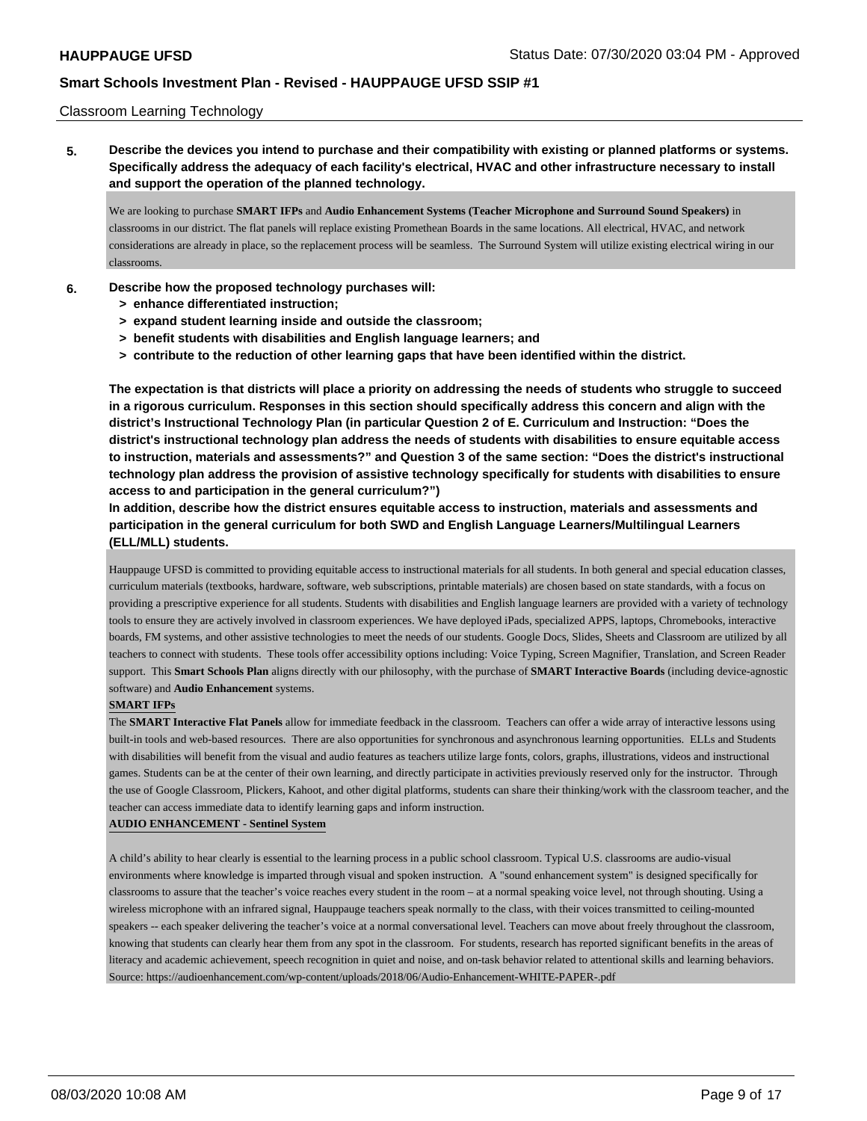### Classroom Learning Technology

**5. Describe the devices you intend to purchase and their compatibility with existing or planned platforms or systems. Specifically address the adequacy of each facility's electrical, HVAC and other infrastructure necessary to install and support the operation of the planned technology.**

We are looking to purchase **SMART IFPs** and **Audio Enhancement Systems (Teacher Microphone and Surround Sound Speakers)** in classrooms in our district. The flat panels will replace existing Promethean Boards in the same locations. All electrical, HVAC, and network considerations are already in place, so the replacement process will be seamless. The Surround System will utilize existing electrical wiring in our classrooms.

- **6. Describe how the proposed technology purchases will:**
	- **> enhance differentiated instruction;**
	- **> expand student learning inside and outside the classroom;**
	- **> benefit students with disabilities and English language learners; and**
	- **> contribute to the reduction of other learning gaps that have been identified within the district.**

**The expectation is that districts will place a priority on addressing the needs of students who struggle to succeed in a rigorous curriculum. Responses in this section should specifically address this concern and align with the district's Instructional Technology Plan (in particular Question 2 of E. Curriculum and Instruction: "Does the district's instructional technology plan address the needs of students with disabilities to ensure equitable access to instruction, materials and assessments?" and Question 3 of the same section: "Does the district's instructional technology plan address the provision of assistive technology specifically for students with disabilities to ensure access to and participation in the general curriculum?")**

**In addition, describe how the district ensures equitable access to instruction, materials and assessments and participation in the general curriculum for both SWD and English Language Learners/Multilingual Learners (ELL/MLL) students.**

Hauppauge UFSD is committed to providing equitable access to instructional materials for all students. In both general and special education classes, curriculum materials (textbooks, hardware, software, web subscriptions, printable materials) are chosen based on state standards, with a focus on providing a prescriptive experience for all students. Students with disabilities and English language learners are provided with a variety of technology tools to ensure they are actively involved in classroom experiences. We have deployed iPads, specialized APPS, laptops, Chromebooks, interactive boards, FM systems, and other assistive technologies to meet the needs of our students. Google Docs, Slides, Sheets and Classroom are utilized by all teachers to connect with students. These tools offer accessibility options including: Voice Typing, Screen Magnifier, Translation, and Screen Reader support. This **Smart Schools Plan** aligns directly with our philosophy, with the purchase of **SMART Interactive Boards** (including device-agnostic software) and **Audio Enhancement** systems.

#### **SMART IFPs**

The **SMART Interactive Flat Panels** allow for immediate feedback in the classroom. Teachers can offer a wide array of interactive lessons using built-in tools and web-based resources. There are also opportunities for synchronous and asynchronous learning opportunities. ELLs and Students with disabilities will benefit from the visual and audio features as teachers utilize large fonts, colors, graphs, illustrations, videos and instructional games. Students can be at the center of their own learning, and directly participate in activities previously reserved only for the instructor. Through the use of Google Classroom, Plickers, Kahoot, and other digital platforms, students can share their thinking/work with the classroom teacher, and the teacher can access immediate data to identify learning gaps and inform instruction.

#### **AUDIO ENHANCEMENT - Sentinel System**

A child's ability to hear clearly is essential to the learning process in a public school classroom. Typical U.S. classrooms are audio-visual environments where knowledge is imparted through visual and spoken instruction. A "sound enhancement system" is designed specifically for classrooms to assure that the teacher's voice reaches every student in the room – at a normal speaking voice level, not through shouting. Using a wireless microphone with an infrared signal, Hauppauge teachers speak normally to the class, with their voices transmitted to ceiling-mounted speakers -- each speaker delivering the teacher's voice at a normal conversational level. Teachers can move about freely throughout the classroom, knowing that students can clearly hear them from any spot in the classroom. For students, research has reported significant benefits in the areas of literacy and academic achievement, speech recognition in quiet and noise, and on-task behavior related to attentional skills and learning behaviors. Source: https://audioenhancement.com/wp-content/uploads/2018/06/Audio-Enhancement-WHITE-PAPER-.pdf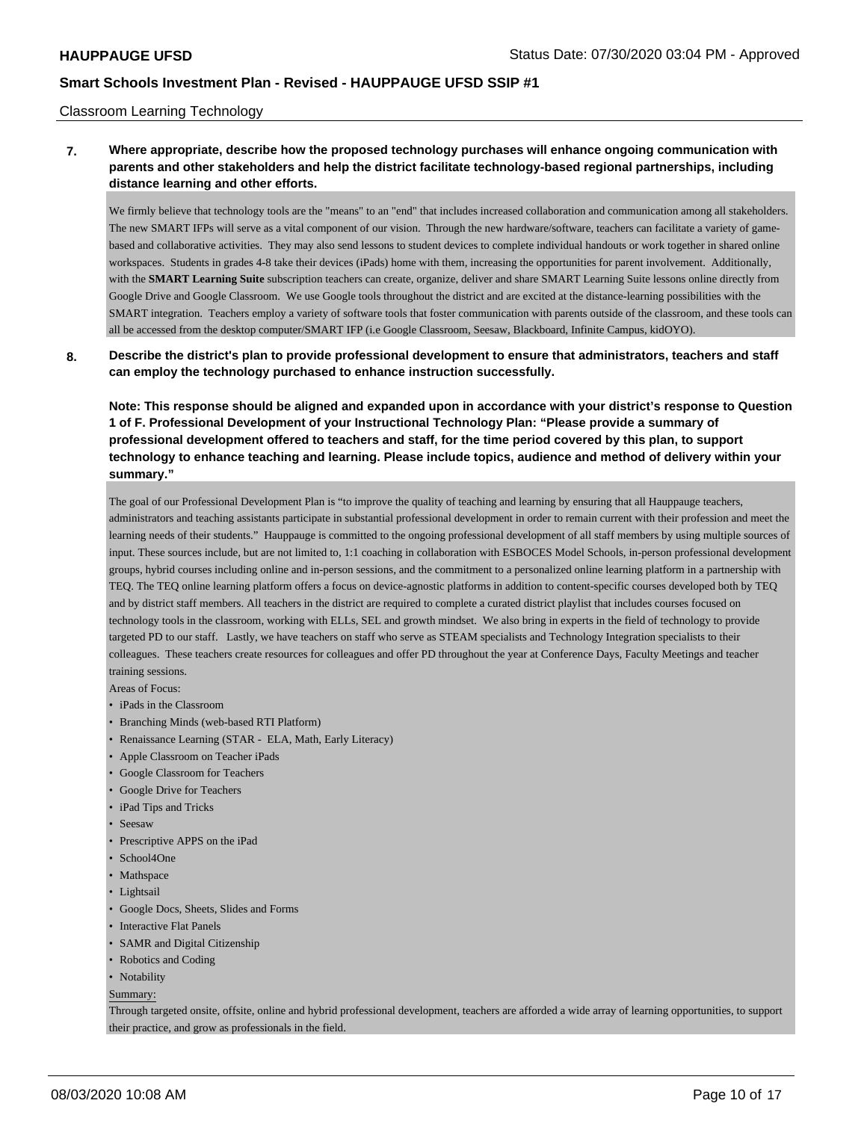### Classroom Learning Technology

## **7. Where appropriate, describe how the proposed technology purchases will enhance ongoing communication with parents and other stakeholders and help the district facilitate technology-based regional partnerships, including distance learning and other efforts.**

We firmly believe that technology tools are the "means" to an "end" that includes increased collaboration and communication among all stakeholders. The new SMART IFPs will serve as a vital component of our vision. Through the new hardware/software, teachers can facilitate a variety of gamebased and collaborative activities. They may also send lessons to student devices to complete individual handouts or work together in shared online workspaces. Students in grades 4-8 take their devices (iPads) home with them, increasing the opportunities for parent involvement. Additionally, with the **SMART Learning Suite** subscription teachers can create, organize, deliver and share SMART Learning Suite lessons online directly from Google Drive and Google Classroom. We use Google tools throughout the district and are excited at the distance-learning possibilities with the SMART integration. Teachers employ a variety of software tools that foster communication with parents outside of the classroom, and these tools can all be accessed from the desktop computer/SMART IFP (i.e Google Classroom, Seesaw, Blackboard, Infinite Campus, kidOYO).

### **8. Describe the district's plan to provide professional development to ensure that administrators, teachers and staff can employ the technology purchased to enhance instruction successfully.**

**Note: This response should be aligned and expanded upon in accordance with your district's response to Question 1 of F. Professional Development of your Instructional Technology Plan: "Please provide a summary of professional development offered to teachers and staff, for the time period covered by this plan, to support technology to enhance teaching and learning. Please include topics, audience and method of delivery within your summary."**

The goal of our Professional Development Plan is "to improve the quality of teaching and learning by ensuring that all Hauppauge teachers, administrators and teaching assistants participate in substantial professional development in order to remain current with their profession and meet the learning needs of their students." Hauppauge is committed to the ongoing professional development of all staff members by using multiple sources of input. These sources include, but are not limited to, 1:1 coaching in collaboration with ESBOCES Model Schools, in-person professional development groups, hybrid courses including online and in-person sessions, and the commitment to a personalized online learning platform in a partnership with TEQ. The TEQ online learning platform offers a focus on device-agnostic platforms in addition to content-specific courses developed both by TEQ and by district staff members. All teachers in the district are required to complete a curated district playlist that includes courses focused on technology tools in the classroom, working with ELLs, SEL and growth mindset. We also bring in experts in the field of technology to provide targeted PD to our staff. Lastly, we have teachers on staff who serve as STEAM specialists and Technology Integration specialists to their colleagues. These teachers create resources for colleagues and offer PD throughout the year at Conference Days, Faculty Meetings and teacher training sessions.

Areas of Focus:

- iPads in the Classroom
- Branching Minds (web-based RTI Platform)
- Renaissance Learning (STAR ELA, Math, Early Literacy)
- Apple Classroom on Teacher iPads
- Google Classroom for Teachers
- Google Drive for Teachers
- iPad Tips and Tricks
- Seesaw
- Prescriptive APPS on the iPad
- School4One
- Mathspace
- Lightsail
- Google Docs, Sheets, Slides and Forms
- Interactive Flat Panels
- SAMR and Digital Citizenship
- Robotics and Coding
- Notability

Summary:

Through targeted onsite, offsite, online and hybrid professional development, teachers are afforded a wide array of learning opportunities, to support their practice, and grow as professionals in the field.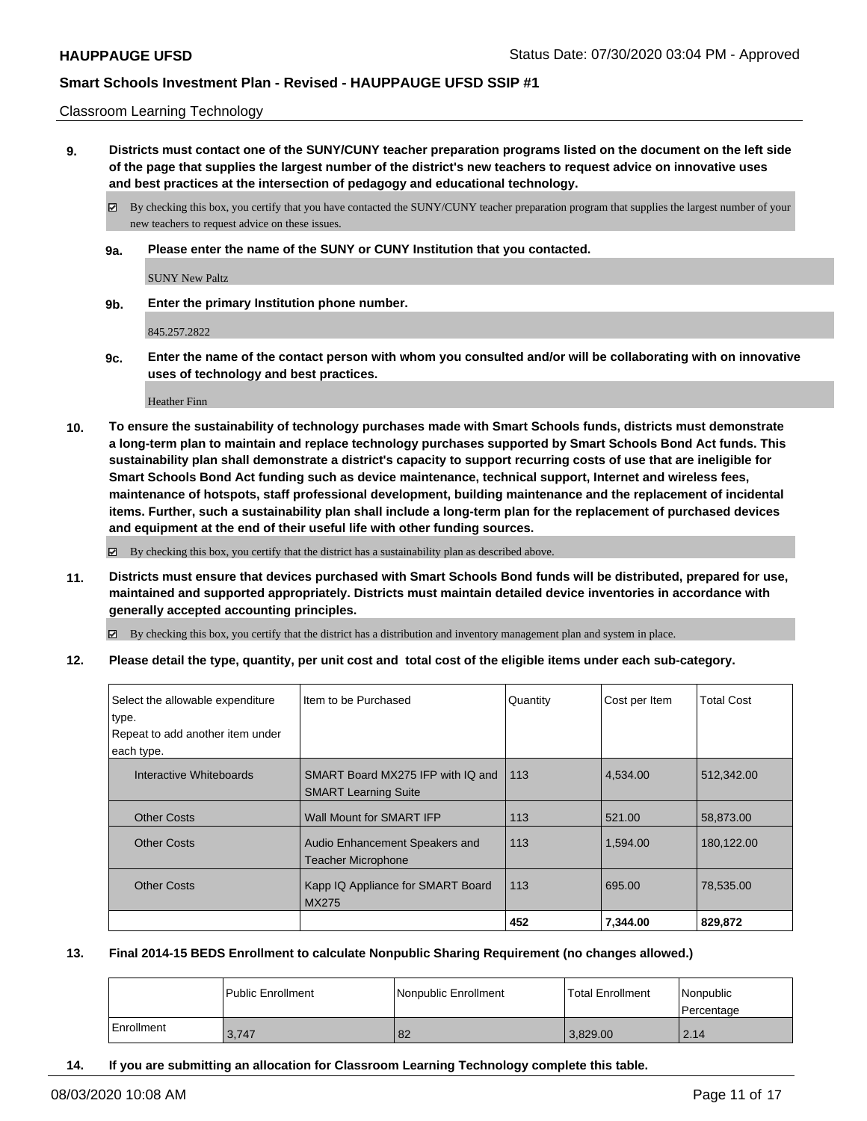#### Classroom Learning Technology

**9. Districts must contact one of the SUNY/CUNY teacher preparation programs listed on the document on the left side of the page that supplies the largest number of the district's new teachers to request advice on innovative uses and best practices at the intersection of pedagogy and educational technology.**

By checking this box, you certify that you have contacted the SUNY/CUNY teacher preparation program that supplies the largest number of your new teachers to request advice on these issues.

**9a. Please enter the name of the SUNY or CUNY Institution that you contacted.**

SUNY New Paltz

**9b. Enter the primary Institution phone number.**

845.257.2822

**9c. Enter the name of the contact person with whom you consulted and/or will be collaborating with on innovative uses of technology and best practices.**

Heather Finn

**10. To ensure the sustainability of technology purchases made with Smart Schools funds, districts must demonstrate a long-term plan to maintain and replace technology purchases supported by Smart Schools Bond Act funds. This sustainability plan shall demonstrate a district's capacity to support recurring costs of use that are ineligible for Smart Schools Bond Act funding such as device maintenance, technical support, Internet and wireless fees, maintenance of hotspots, staff professional development, building maintenance and the replacement of incidental items. Further, such a sustainability plan shall include a long-term plan for the replacement of purchased devices and equipment at the end of their useful life with other funding sources.**

By checking this box, you certify that the district has a sustainability plan as described above.

**11. Districts must ensure that devices purchased with Smart Schools Bond funds will be distributed, prepared for use, maintained and supported appropriately. Districts must maintain detailed device inventories in accordance with generally accepted accounting principles.**

By checking this box, you certify that the district has a distribution and inventory management plan and system in place.

**12. Please detail the type, quantity, per unit cost and total cost of the eligible items under each sub-category.**

| Select the allowable expenditure<br>type.<br>Repeat to add another item under | Item to be Purchased                                             | Quantity | Cost per Item | Total Cost |
|-------------------------------------------------------------------------------|------------------------------------------------------------------|----------|---------------|------------|
| each type.                                                                    |                                                                  |          |               |            |
| Interactive Whiteboards                                                       | SMART Board MX275 IFP with IQ and<br><b>SMART Learning Suite</b> | 113      | 4,534.00      | 512,342.00 |
| <b>Other Costs</b>                                                            | Wall Mount for SMART IFP                                         | 113      | 521.00        | 58.873.00  |
| <b>Other Costs</b>                                                            | Audio Enhancement Speakers and<br><b>Teacher Microphone</b>      | 113      | 1,594.00      | 180,122.00 |
| <b>Other Costs</b>                                                            | Kapp IQ Appliance for SMART Board<br><b>MX275</b>                | 113      | 695.00        | 78,535.00  |
|                                                                               |                                                                  | 452      | 7.344.00      | 829,872    |

### **13. Final 2014-15 BEDS Enrollment to calculate Nonpublic Sharing Requirement (no changes allowed.)**

|            | Public Enrollment | Nonpublic Enrollment | Total Enrollment | Nonpublic<br>Percentage |
|------------|-------------------|----------------------|------------------|-------------------------|
| Enrollment | 3,747             | 82                   | 3.829.00         | 2.14                    |

**14. If you are submitting an allocation for Classroom Learning Technology complete this table.**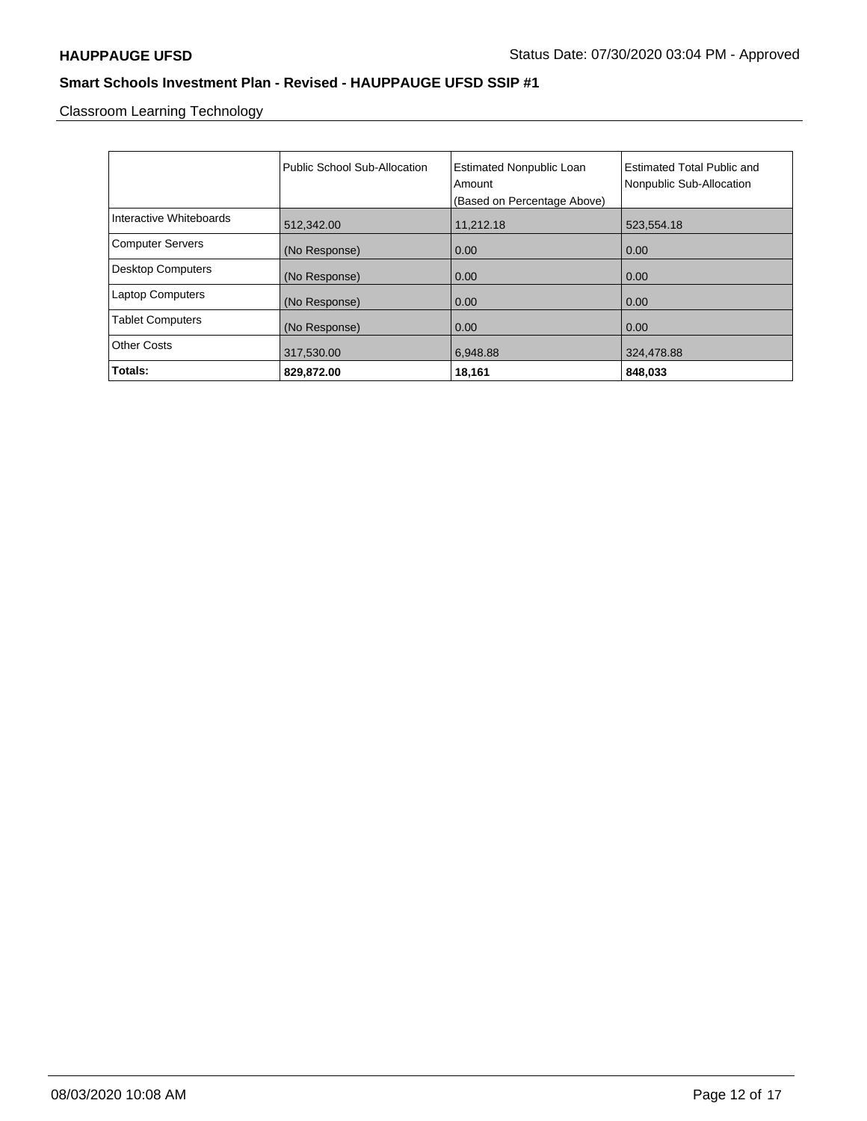Classroom Learning Technology

|                          | Public School Sub-Allocation | <b>Estimated Nonpublic Loan</b><br>Amount<br>(Based on Percentage Above) | <b>Estimated Total Public and</b><br>Nonpublic Sub-Allocation |
|--------------------------|------------------------------|--------------------------------------------------------------------------|---------------------------------------------------------------|
| Interactive Whiteboards  | 512,342.00                   | 11,212.18                                                                | 523,554.18                                                    |
| <b>Computer Servers</b>  | (No Response)                | 0.00                                                                     | 0.00                                                          |
| <b>Desktop Computers</b> | (No Response)                | 0.00                                                                     | 0.00                                                          |
| <b>Laptop Computers</b>  | (No Response)                | 0.00                                                                     | 0.00                                                          |
| <b>Tablet Computers</b>  | (No Response)                | 0.00                                                                     | 0.00                                                          |
| <b>Other Costs</b>       | 317,530.00                   | 6.948.88                                                                 | 324,478.88                                                    |
| Totals:                  | 829,872.00                   | 18,161                                                                   | 848,033                                                       |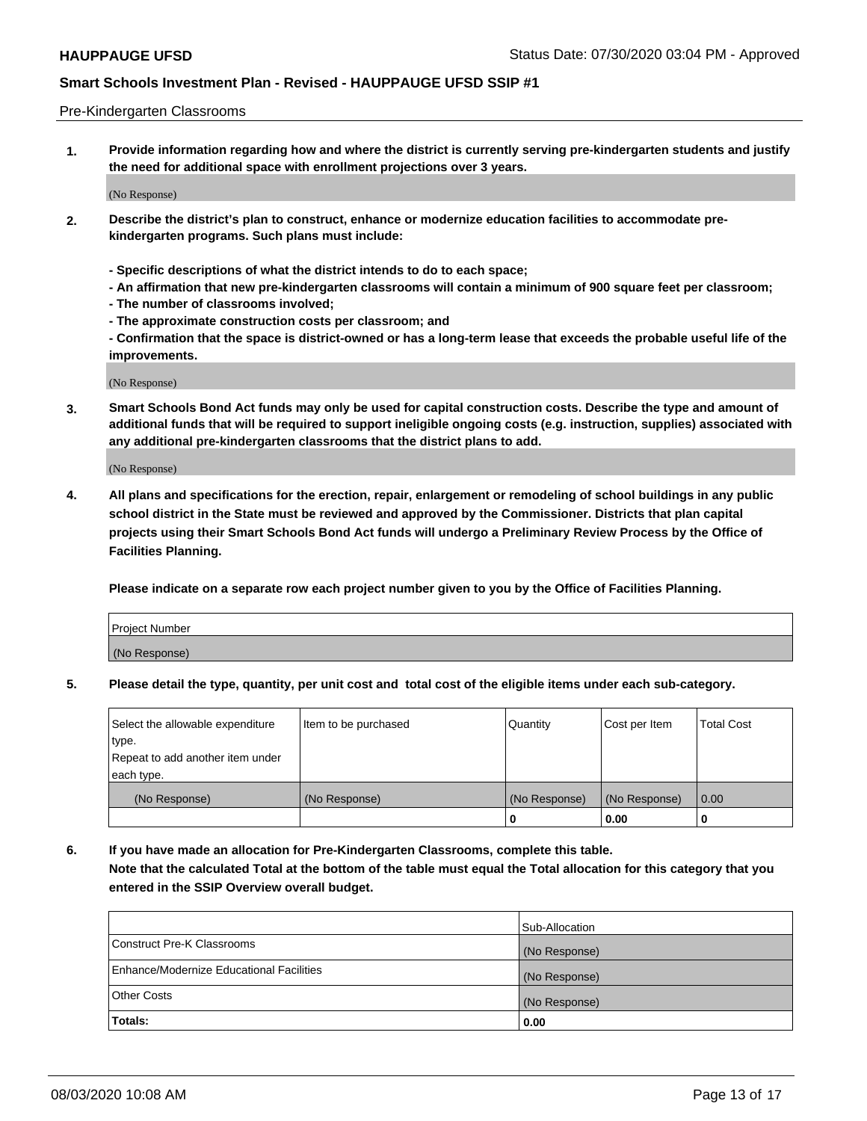#### Pre-Kindergarten Classrooms

**1. Provide information regarding how and where the district is currently serving pre-kindergarten students and justify the need for additional space with enrollment projections over 3 years.**

(No Response)

- **2. Describe the district's plan to construct, enhance or modernize education facilities to accommodate prekindergarten programs. Such plans must include:**
	- **Specific descriptions of what the district intends to do to each space;**
	- **An affirmation that new pre-kindergarten classrooms will contain a minimum of 900 square feet per classroom;**
	- **The number of classrooms involved;**
	- **The approximate construction costs per classroom; and**
	- **Confirmation that the space is district-owned or has a long-term lease that exceeds the probable useful life of the improvements.**

(No Response)

**3. Smart Schools Bond Act funds may only be used for capital construction costs. Describe the type and amount of additional funds that will be required to support ineligible ongoing costs (e.g. instruction, supplies) associated with any additional pre-kindergarten classrooms that the district plans to add.**

(No Response)

**4. All plans and specifications for the erection, repair, enlargement or remodeling of school buildings in any public school district in the State must be reviewed and approved by the Commissioner. Districts that plan capital projects using their Smart Schools Bond Act funds will undergo a Preliminary Review Process by the Office of Facilities Planning.**

**Please indicate on a separate row each project number given to you by the Office of Facilities Planning.**

| Project Number |  |
|----------------|--|
| (No Response)  |  |
|                |  |

**5. Please detail the type, quantity, per unit cost and total cost of the eligible items under each sub-category.**

| Select the allowable expenditure | Item to be purchased | Quantity      | Cost per Item | <b>Total Cost</b> |
|----------------------------------|----------------------|---------------|---------------|-------------------|
| type.                            |                      |               |               |                   |
| Repeat to add another item under |                      |               |               |                   |
| each type.                       |                      |               |               |                   |
| (No Response)                    | (No Response)        | (No Response) | (No Response) | 0.00              |
|                                  |                      | υ             | 0.00          |                   |

**6. If you have made an allocation for Pre-Kindergarten Classrooms, complete this table. Note that the calculated Total at the bottom of the table must equal the Total allocation for this category that you entered in the SSIP Overview overall budget.**

|                                          | Sub-Allocation |
|------------------------------------------|----------------|
| Construct Pre-K Classrooms               | (No Response)  |
| Enhance/Modernize Educational Facilities | (No Response)  |
| <b>Other Costs</b>                       | (No Response)  |
| Totals:                                  | 0.00           |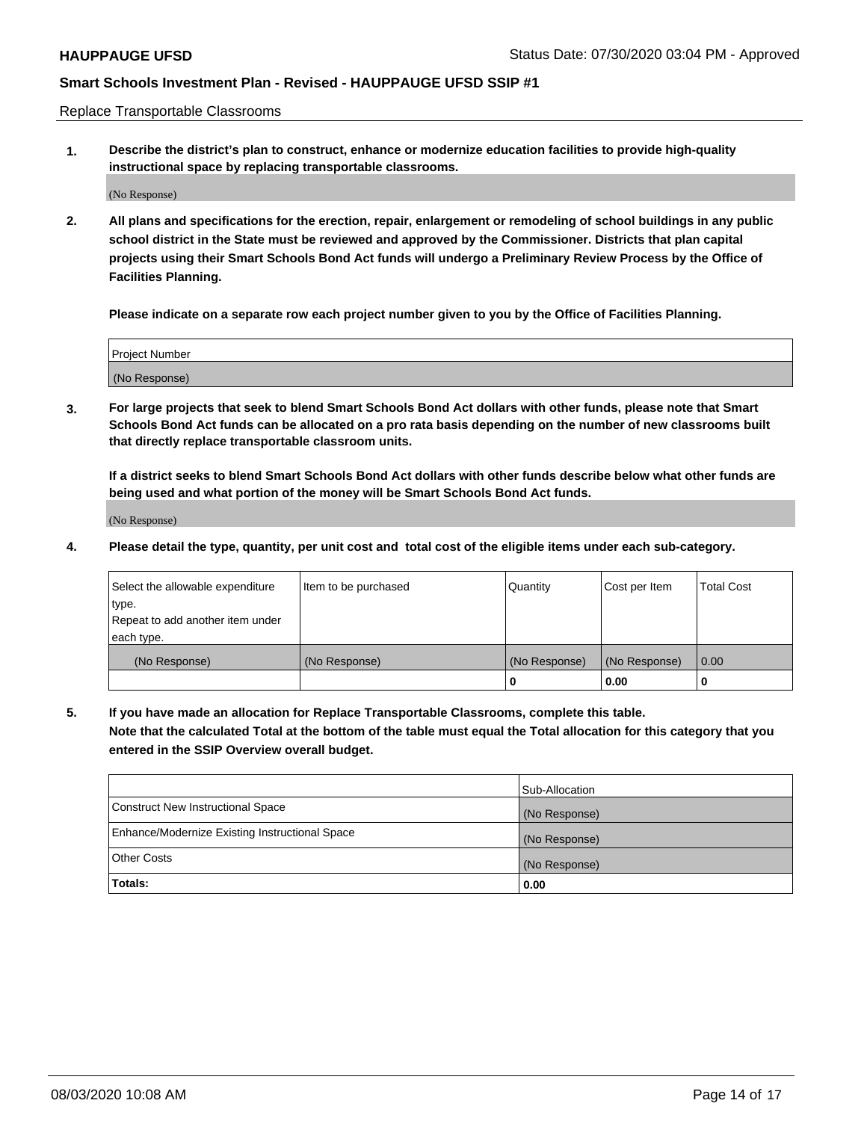Replace Transportable Classrooms

**1. Describe the district's plan to construct, enhance or modernize education facilities to provide high-quality instructional space by replacing transportable classrooms.**

(No Response)

**2. All plans and specifications for the erection, repair, enlargement or remodeling of school buildings in any public school district in the State must be reviewed and approved by the Commissioner. Districts that plan capital projects using their Smart Schools Bond Act funds will undergo a Preliminary Review Process by the Office of Facilities Planning.**

**Please indicate on a separate row each project number given to you by the Office of Facilities Planning.**

| Project Number |  |
|----------------|--|
|                |  |
|                |  |
|                |  |
|                |  |
| (No Response)  |  |
|                |  |
|                |  |
|                |  |

**3. For large projects that seek to blend Smart Schools Bond Act dollars with other funds, please note that Smart Schools Bond Act funds can be allocated on a pro rata basis depending on the number of new classrooms built that directly replace transportable classroom units.**

**If a district seeks to blend Smart Schools Bond Act dollars with other funds describe below what other funds are being used and what portion of the money will be Smart Schools Bond Act funds.**

(No Response)

**4. Please detail the type, quantity, per unit cost and total cost of the eligible items under each sub-category.**

| Select the allowable expenditure | Item to be purchased | Quantity      | Cost per Item | Total Cost |
|----------------------------------|----------------------|---------------|---------------|------------|
| ∣type.                           |                      |               |               |            |
| Repeat to add another item under |                      |               |               |            |
| each type.                       |                      |               |               |            |
| (No Response)                    | (No Response)        | (No Response) | (No Response) | 0.00       |
|                                  |                      | u             | 0.00          |            |

**5. If you have made an allocation for Replace Transportable Classrooms, complete this table. Note that the calculated Total at the bottom of the table must equal the Total allocation for this category that you entered in the SSIP Overview overall budget.**

|                                                | Sub-Allocation |
|------------------------------------------------|----------------|
| Construct New Instructional Space              | (No Response)  |
| Enhance/Modernize Existing Instructional Space | (No Response)  |
| Other Costs                                    | (No Response)  |
| Totals:                                        | 0.00           |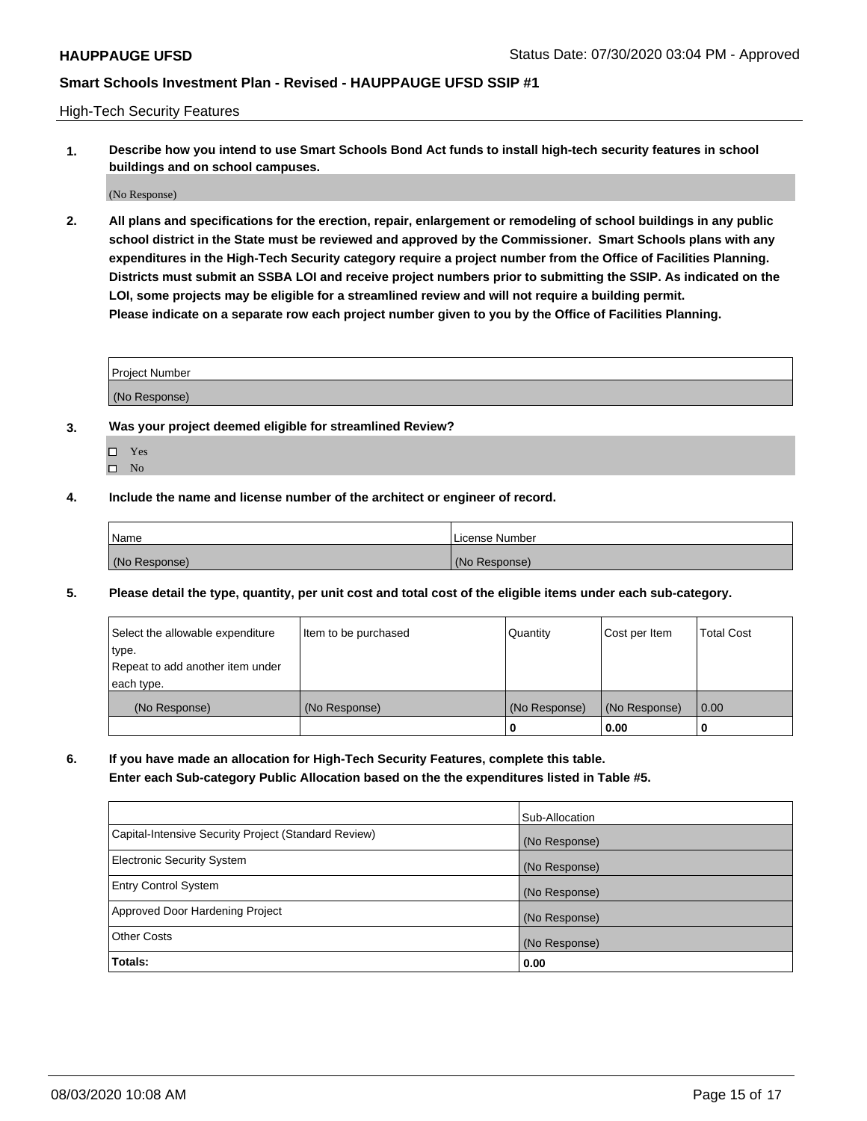High-Tech Security Features

**1. Describe how you intend to use Smart Schools Bond Act funds to install high-tech security features in school buildings and on school campuses.**

(No Response)

**2. All plans and specifications for the erection, repair, enlargement or remodeling of school buildings in any public school district in the State must be reviewed and approved by the Commissioner. Smart Schools plans with any expenditures in the High-Tech Security category require a project number from the Office of Facilities Planning. Districts must submit an SSBA LOI and receive project numbers prior to submitting the SSIP. As indicated on the LOI, some projects may be eligible for a streamlined review and will not require a building permit. Please indicate on a separate row each project number given to you by the Office of Facilities Planning.**

| <b>Project Number</b> |  |
|-----------------------|--|
|                       |  |
| (No Response)         |  |

- **3. Was your project deemed eligible for streamlined Review?**
	- Yes
	- $\hfill \square$  No
- **4. Include the name and license number of the architect or engineer of record.**

| Name          | License Number |
|---------------|----------------|
| (No Response) | (No Response)  |

**5. Please detail the type, quantity, per unit cost and total cost of the eligible items under each sub-category.**

| Select the allowable expenditure | Item to be purchased | Quantity      | Cost per Item | <b>Total Cost</b> |
|----------------------------------|----------------------|---------------|---------------|-------------------|
| type.                            |                      |               |               |                   |
| Repeat to add another item under |                      |               |               |                   |
| each type.                       |                      |               |               |                   |
| (No Response)                    | (No Response)        | (No Response) | (No Response) | 0.00              |
|                                  |                      | 0             | 0.00          |                   |

**6. If you have made an allocation for High-Tech Security Features, complete this table.**

**Enter each Sub-category Public Allocation based on the the expenditures listed in Table #5.**

|                                                      | Sub-Allocation |
|------------------------------------------------------|----------------|
| Capital-Intensive Security Project (Standard Review) | (No Response)  |
| <b>Electronic Security System</b>                    | (No Response)  |
| <b>Entry Control System</b>                          | (No Response)  |
| Approved Door Hardening Project                      | (No Response)  |
| <b>Other Costs</b>                                   | (No Response)  |
| Totals:                                              | 0.00           |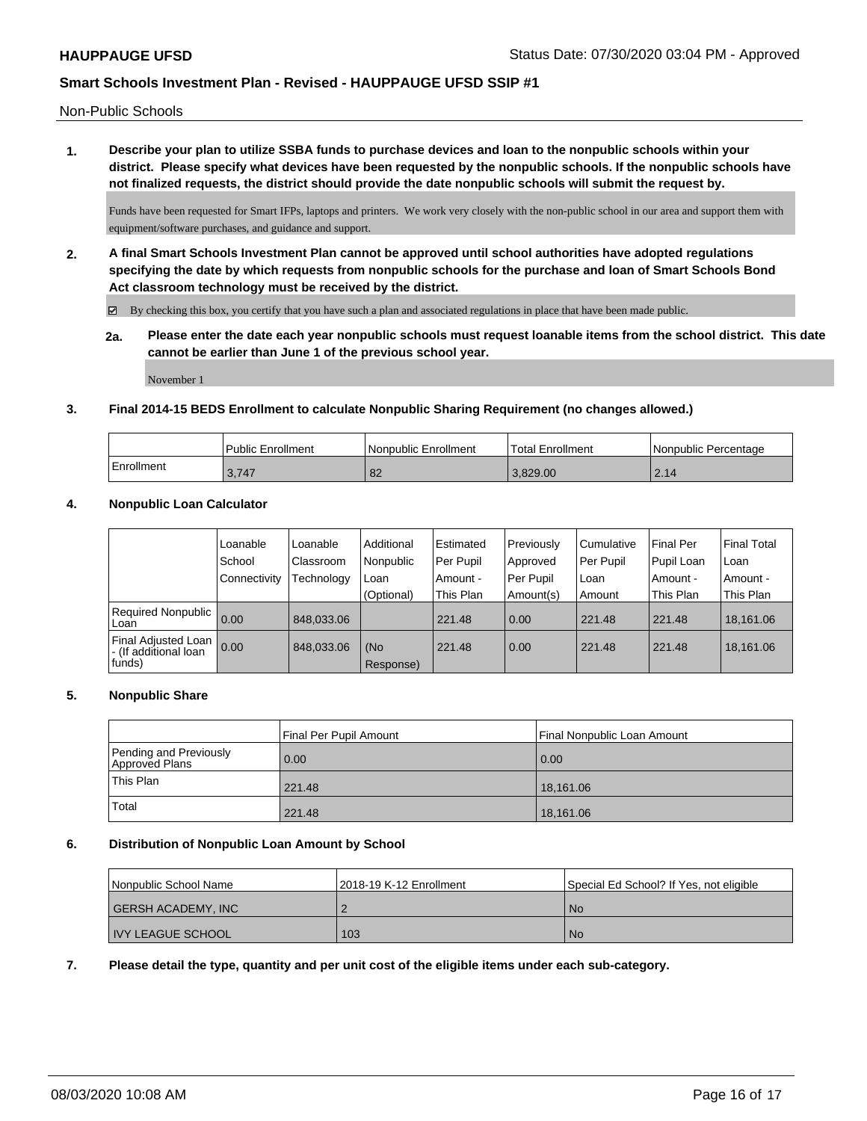Non-Public Schools

**1. Describe your plan to utilize SSBA funds to purchase devices and loan to the nonpublic schools within your district. Please specify what devices have been requested by the nonpublic schools. If the nonpublic schools have not finalized requests, the district should provide the date nonpublic schools will submit the request by.**

Funds have been requested for Smart IFPs, laptops and printers. We work very closely with the non-public school in our area and support them with equipment/software purchases, and guidance and support.

**2. A final Smart Schools Investment Plan cannot be approved until school authorities have adopted regulations specifying the date by which requests from nonpublic schools for the purchase and loan of Smart Schools Bond Act classroom technology must be received by the district.**

 $\boxtimes$  By checking this box, you certify that you have such a plan and associated regulations in place that have been made public.

**2a. Please enter the date each year nonpublic schools must request loanable items from the school district. This date cannot be earlier than June 1 of the previous school year.**

November 1

### **3. Final 2014-15 BEDS Enrollment to calculate Nonpublic Sharing Requirement (no changes allowed.)**

|            | Public Enrollment | l Nonpublic Enrollment | 'Total Enrollment | I Nonpublic Percentage |
|------------|-------------------|------------------------|-------------------|------------------------|
| Enrollment | 3.747             | $\Omega$<br>O∠         | 3.829.00          | 214<br>$\sim$ . $\sim$ |

### **4. Nonpublic Loan Calculator**

|                                                        | Loanable<br>School<br>Connectivity | Loanable<br>Classroom<br>Technology | Additional<br>Nonpublic<br>Loan<br>(Optional) | l Estimated<br>Per Pupil<br>Amount -<br>This Plan | Previously<br>Approved<br>Per Pupil<br>Amount(s) | l Cumulative<br>Per Pupil<br>l Loan<br>l Amount | <b>Final Per</b><br>Pupil Loan<br>. Amount -<br>This Plan | Final Total<br>l Loan<br>Amount -<br>This Plan |
|--------------------------------------------------------|------------------------------------|-------------------------------------|-----------------------------------------------|---------------------------------------------------|--------------------------------------------------|-------------------------------------------------|-----------------------------------------------------------|------------------------------------------------|
| Required Nonpublic<br>Loan                             | 0.00                               | 848.033.06                          |                                               | 221.48                                            | 0.00                                             | 221.48                                          | 221.48                                                    | 18.161.06                                      |
| Final Adjusted Loan<br>- (If additional loan<br>funds) | 0.00                               | 848,033.06                          | (No<br>Response)                              | 221.48                                            | 0.00                                             | 221.48                                          | 221.48                                                    | 18,161.06                                      |

#### **5. Nonpublic Share**

|                                          | Final Per Pupil Amount | Final Nonpublic Loan Amount |  |
|------------------------------------------|------------------------|-----------------------------|--|
| Pending and Previously<br>Approved Plans | 0.00                   | 0.00                        |  |
| <sup>1</sup> This Plan                   | 221.48                 | 18,161.06                   |  |
| Total                                    | 221.48                 | 18,161.06                   |  |

#### **6. Distribution of Nonpublic Loan Amount by School**

| Nonpublic School Name |                          | 12018-19 K-12 Enrollment | Special Ed School? If Yes, not eligible |  |
|-----------------------|--------------------------|--------------------------|-----------------------------------------|--|
|                       | GERSH ACADEMY, INC       |                          | <b>No</b>                               |  |
|                       | <b>INY LEAGUE SCHOOL</b> | 103                      | No.                                     |  |

**7. Please detail the type, quantity and per unit cost of the eligible items under each sub-category.**